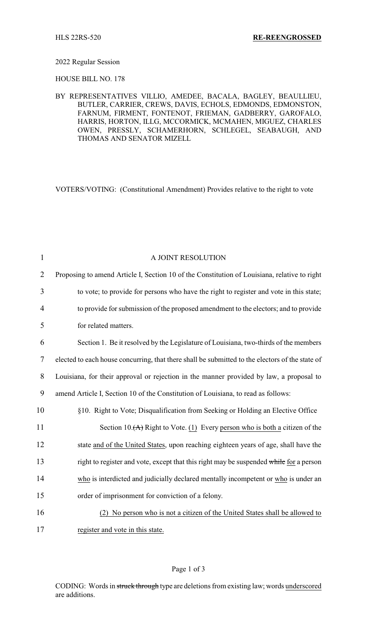## 2022 Regular Session

HOUSE BILL NO. 178

BY REPRESENTATIVES VILLIO, AMEDEE, BACALA, BAGLEY, BEAULLIEU, BUTLER, CARRIER, CREWS, DAVIS, ECHOLS, EDMONDS, EDMONSTON, FARNUM, FIRMENT, FONTENOT, FRIEMAN, GADBERRY, GAROFALO, HARRIS, HORTON, ILLG, MCCORMICK, MCMAHEN, MIGUEZ, CHARLES OWEN, PRESSLY, SCHAMERHORN, SCHLEGEL, SEABAUGH, AND THOMAS AND SENATOR MIZELL

VOTERS/VOTING: (Constitutional Amendment) Provides relative to the right to vote

| $\mathbf{1}$   | A JOINT RESOLUTION                                                                              |
|----------------|-------------------------------------------------------------------------------------------------|
| $\overline{2}$ | Proposing to amend Article I, Section 10 of the Constitution of Louisiana, relative to right    |
| 3              | to vote; to provide for persons who have the right to register and vote in this state;          |
| 4              | to provide for submission of the proposed amendment to the electors; and to provide             |
| 5              | for related matters.                                                                            |
| 6              | Section 1. Be it resolved by the Legislature of Louisiana, two-thirds of the members            |
| $\tau$         | elected to each house concurring, that there shall be submitted to the electors of the state of |
| 8              | Louisiana, for their approval or rejection in the manner provided by law, a proposal to         |
| 9              | amend Article I, Section 10 of the Constitution of Louisiana, to read as follows:               |
| 10             | §10. Right to Vote; Disqualification from Seeking or Holding an Elective Office                 |
| 11             | Section 10. $(A)$ Right to Vote. (1) Every person who is both a citizen of the                  |
| 12             | state and of the United States, upon reaching eighteen years of age, shall have the             |
| 13             | right to register and vote, except that this right may be suspended while for a person          |
| 14             | who is interdicted and judicially declared mentally incompetent or who is under an              |
| 15             | order of imprisonment for conviction of a felony.                                               |
| 16             | No person who is not a citizen of the United States shall be allowed to<br>(2)                  |
| 17             | register and vote in this state.                                                                |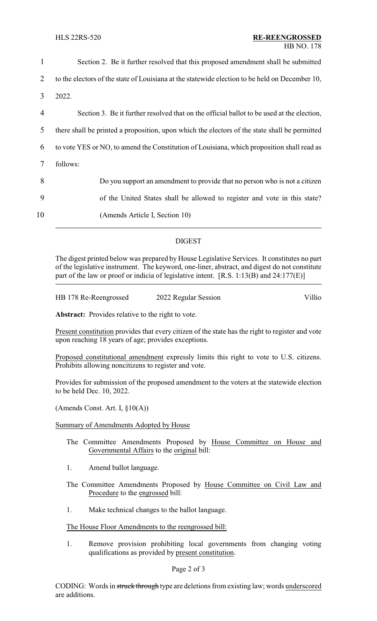| 2<br>3<br>2022.<br>4<br>5<br>6<br>7<br>follows: | 1  | Section 2. Be it further resolved that this proposed amendment shall be submitted              |
|-------------------------------------------------|----|------------------------------------------------------------------------------------------------|
|                                                 |    | to the electors of the state of Louisiana at the statewide election to be held on December 10, |
|                                                 |    |                                                                                                |
|                                                 |    | Section 3. Be it further resolved that on the official ballot to be used at the election,      |
|                                                 |    | there shall be printed a proposition, upon which the electors of the state shall be permitted  |
|                                                 |    | to vote YES or NO, to amend the Constitution of Louisiana, which proposition shall read as     |
|                                                 |    |                                                                                                |
|                                                 | 8  | Do you support an amendment to provide that no person who is not a citizen                     |
| 9                                               |    | of the United States shall be allowed to register and vote in this state?                      |
|                                                 | 10 | (Amends Article I, Section 10)                                                                 |
|                                                 |    |                                                                                                |

## DIGEST

The digest printed below was prepared by House Legislative Services. It constitutes no part of the legislative instrument. The keyword, one-liner, abstract, and digest do not constitute part of the law or proof or indicia of legislative intent. [R.S. 1:13(B) and 24:177(E)]

| HB 178 Re-Reengrossed | 2022 Regular Session | Villio |
|-----------------------|----------------------|--------|
|                       |                      |        |

**Abstract:** Provides relative to the right to vote.

Present constitution provides that every citizen of the state has the right to register and vote upon reaching 18 years of age; provides exceptions.

Proposed constitutional amendment expressly limits this right to vote to U.S. citizens. Prohibits allowing noncitizens to register and vote.

Provides for submission of the proposed amendment to the voters at the statewide election to be held Dec. 10, 2022.

(Amends Const. Art. I, §10(A))

Summary of Amendments Adopted by House

- The Committee Amendments Proposed by House Committee on House and Governmental Affairs to the original bill:
- 1. Amend ballot language.
- The Committee Amendments Proposed by House Committee on Civil Law and Procedure to the engrossed bill:
- 1. Make technical changes to the ballot language.

## The House Floor Amendments to the reengrossed bill:

1. Remove provision prohibiting local governments from changing voting qualifications as provided by present constitution.